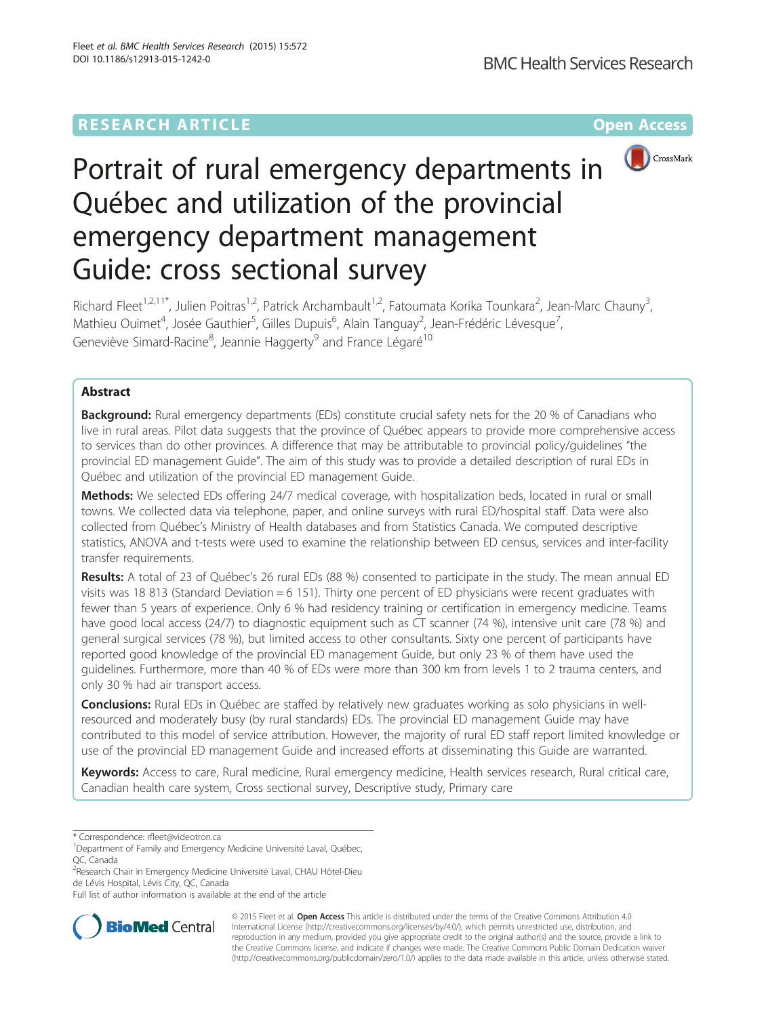# **RESEARCH ARTICLE Example 2014 12:30 The Community Community Community Community Community Community Community**



# Portrait of rural emergency departments in Québec and utilization of the provincial emergency department management Guide: cross sectional survey

Richard Fleet<sup>1,2,11\*</sup>, Julien Poitras<sup>1,2</sup>, Patrick Archambault<sup>1,2</sup>, Fatoumata Korika Tounkara<sup>2</sup>, Jean-Marc Chauny<sup>3</sup> , Mathieu Ouimet<sup>4</sup>, Josée Gauthier<sup>5</sup>, Gilles Dupuis<sup>6</sup>, Alain Tanguay<sup>2</sup>, Jean-Frédéric Lévesque<sup>7</sup> , Geneviève Simard-Racine<sup>8</sup>, Jeannie Haggerty<sup>9</sup> and France Légaré<sup>10</sup>

# Abstract

**Background:** Rural emergency departments (EDs) constitute crucial safety nets for the 20 % of Canadians who live in rural areas. Pilot data suggests that the province of Québec appears to provide more comprehensive access to services than do other provinces. A difference that may be attributable to provincial policy/guidelines "the provincial ED management Guide". The aim of this study was to provide a detailed description of rural EDs in Québec and utilization of the provincial ED management Guide.

Methods: We selected EDs offering 24/7 medical coverage, with hospitalization beds, located in rural or small towns. We collected data via telephone, paper, and online surveys with rural ED/hospital staff. Data were also collected from Québec's Ministry of Health databases and from Statistics Canada. We computed descriptive statistics, ANOVA and t-tests were used to examine the relationship between ED census, services and inter-facility transfer requirements.

Results: A total of 23 of Québec's 26 rural EDs (88 %) consented to participate in the study. The mean annual ED visits was 18 813 (Standard Deviation = 6 151). Thirty one percent of ED physicians were recent graduates with fewer than 5 years of experience. Only 6 % had residency training or certification in emergency medicine. Teams have good local access (24/7) to diagnostic equipment such as CT scanner (74 %), intensive unit care (78 %) and general surgical services (78 %), but limited access to other consultants. Sixty one percent of participants have reported good knowledge of the provincial ED management Guide, but only 23 % of them have used the guidelines. Furthermore, more than 40 % of EDs were more than 300 km from levels 1 to 2 trauma centers, and only 30 % had air transport access.

**Conclusions:** Rural EDs in Québec are staffed by relatively new graduates working as solo physicians in wellresourced and moderately busy (by rural standards) EDs. The provincial ED management Guide may have contributed to this model of service attribution. However, the majority of rural ED staff report limited knowledge or use of the provincial ED management Guide and increased efforts at disseminating this Guide are warranted.

Keywords: Access to care, Rural medicine, Rural emergency medicine, Health services research, Rural critical care, Canadian health care system, Cross sectional survey, Descriptive study, Primary care

\* Correspondence: [rfleet@videotron.ca](mailto:rfleet@videotron.ca) <sup>1</sup>

<sup>2</sup>Research Chair in Emergency Medicine Université Laval, CHAU Hôtel-Dieu de Lévis Hospital, Lévis City, QC, Canada

Full list of author information is available at the end of the article



© 2015 Fleet et al. Open Access This article is distributed under the terms of the Creative Commons Attribution 4.0 International License [\(http://creativecommons.org/licenses/by/4.0/](http://creativecommons.org/licenses/by/4.0/)), which permits unrestricted use, distribution, and reproduction in any medium, provided you give appropriate credit to the original author(s) and the source, provide a link to the Creative Commons license, and indicate if changes were made. The Creative Commons Public Domain Dedication waiver [\(http://creativecommons.org/publicdomain/zero/1.0/](http://creativecommons.org/publicdomain/zero/1.0/)) applies to the data made available in this article, unless otherwise stated.

<sup>&</sup>lt;sup>1</sup>Department of Family and Emergency Medicine Université Laval, Québec, QC, Canada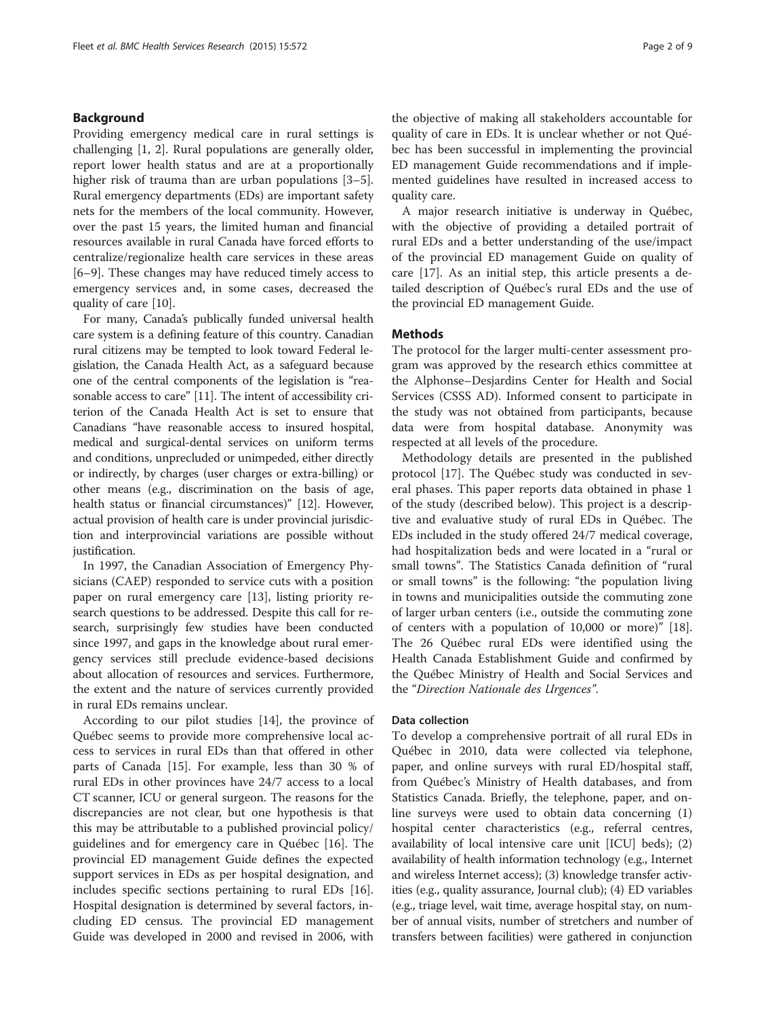# Background

Providing emergency medical care in rural settings is challenging [[1, 2\]](#page-7-0). Rural populations are generally older, report lower health status and are at a proportionally higher risk of trauma than are urban populations [\[3](#page-7-0)–[5](#page-7-0)]. Rural emergency departments (EDs) are important safety nets for the members of the local community. However, over the past 15 years, the limited human and financial resources available in rural Canada have forced efforts to centralize/regionalize health care services in these areas [[6](#page-7-0)–[9\]](#page-7-0). These changes may have reduced timely access to emergency services and, in some cases, decreased the quality of care [\[10\]](#page-7-0).

For many, Canada's publically funded universal health care system is a defining feature of this country. Canadian rural citizens may be tempted to look toward Federal legislation, the Canada Health Act, as a safeguard because one of the central components of the legislation is "reasonable access to care" [[11](#page-7-0)]. The intent of accessibility criterion of the Canada Health Act is set to ensure that Canadians "have reasonable access to insured hospital, medical and surgical-dental services on uniform terms and conditions, unprecluded or unimpeded, either directly or indirectly, by charges (user charges or extra-billing) or other means (e.g., discrimination on the basis of age, health status or financial circumstances)" [\[12\]](#page-7-0). However, actual provision of health care is under provincial jurisdiction and interprovincial variations are possible without justification.

In 1997, the Canadian Association of Emergency Physicians (CAEP) responded to service cuts with a position paper on rural emergency care [[13](#page-7-0)], listing priority research questions to be addressed. Despite this call for research, surprisingly few studies have been conducted since 1997, and gaps in the knowledge about rural emergency services still preclude evidence-based decisions about allocation of resources and services. Furthermore, the extent and the nature of services currently provided in rural EDs remains unclear.

According to our pilot studies [\[14](#page-7-0)], the province of Québec seems to provide more comprehensive local access to services in rural EDs than that offered in other parts of Canada [\[15](#page-7-0)]. For example, less than 30 % of rural EDs in other provinces have 24/7 access to a local CT scanner, ICU or general surgeon. The reasons for the discrepancies are not clear, but one hypothesis is that this may be attributable to a published provincial policy/ guidelines and for emergency care in Québec [\[16](#page-7-0)]. The provincial ED management Guide defines the expected support services in EDs as per hospital designation, and includes specific sections pertaining to rural EDs [\[16](#page-7-0)]. Hospital designation is determined by several factors, including ED census. The provincial ED management Guide was developed in 2000 and revised in 2006, with

the objective of making all stakeholders accountable for quality of care in EDs. It is unclear whether or not Québec has been successful in implementing the provincial ED management Guide recommendations and if implemented guidelines have resulted in increased access to quality care.

A major research initiative is underway in Québec, with the objective of providing a detailed portrait of rural EDs and a better understanding of the use/impact of the provincial ED management Guide on quality of care [\[17\]](#page-7-0). As an initial step, this article presents a detailed description of Québec's rural EDs and the use of the provincial ED management Guide.

# **Methods**

The protocol for the larger multi-center assessment program was approved by the research ethics committee at the Alphonse–Desjardins Center for Health and Social Services (CSSS AD). Informed consent to participate in the study was not obtained from participants, because data were from hospital database. Anonymity was respected at all levels of the procedure.

Methodology details are presented in the published protocol [[17\]](#page-7-0). The Québec study was conducted in several phases. This paper reports data obtained in phase 1 of the study (described below). This project is a descriptive and evaluative study of rural EDs in Québec. The EDs included in the study offered 24/7 medical coverage, had hospitalization beds and were located in a "rural or small towns". The Statistics Canada definition of "rural or small towns" is the following: "the population living in towns and municipalities outside the commuting zone of larger urban centers (i.e., outside the commuting zone of centers with a population of 10,000 or more)" [\[18](#page-8-0)]. The 26 Québec rural EDs were identified using the Health Canada Establishment Guide and confirmed by the Québec Ministry of Health and Social Services and the "Direction Nationale des Urgences".

## Data collection

To develop a comprehensive portrait of all rural EDs in Québec in 2010, data were collected via telephone, paper, and online surveys with rural ED/hospital staff, from Québec's Ministry of Health databases, and from Statistics Canada. Briefly, the telephone, paper, and online surveys were used to obtain data concerning (1) hospital center characteristics (e.g., referral centres, availability of local intensive care unit [ICU] beds); (2) availability of health information technology (e.g., Internet and wireless Internet access); (3) knowledge transfer activities (e.g., quality assurance, Journal club); (4) ED variables (e.g., triage level, wait time, average hospital stay, on number of annual visits, number of stretchers and number of transfers between facilities) were gathered in conjunction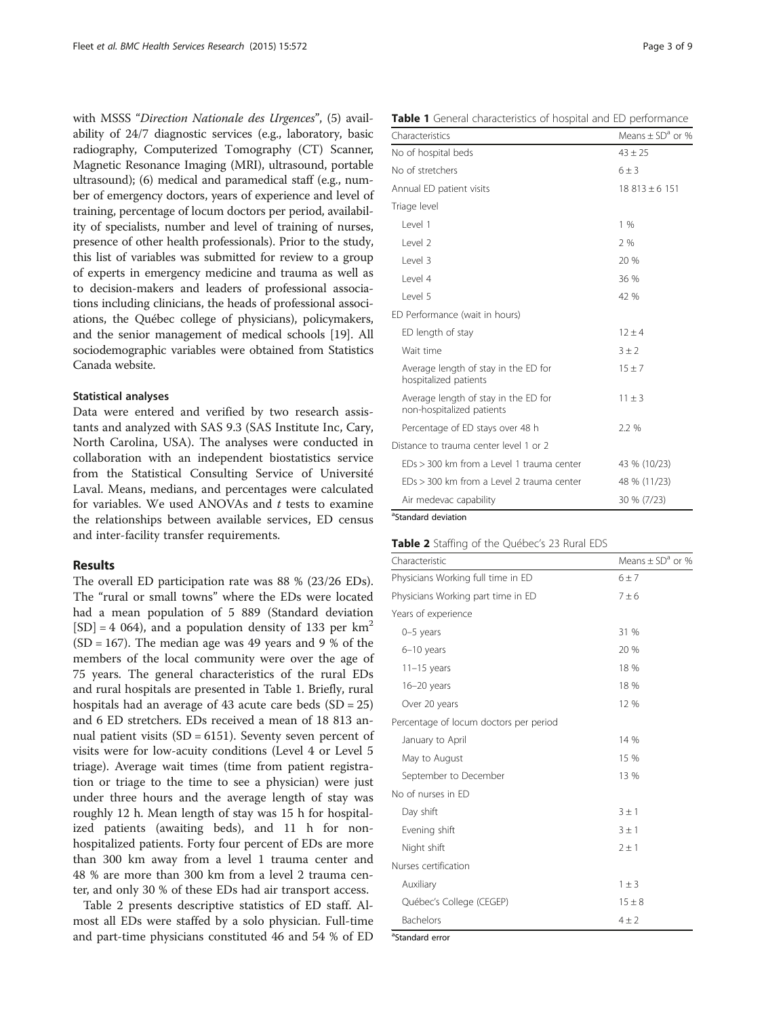with MSSS "Direction Nationale des Urgences", (5) availability of 24/7 diagnostic services (e.g., laboratory, basic radiography, Computerized Tomography (CT) Scanner, Magnetic Resonance Imaging (MRI), ultrasound, portable ultrasound); (6) medical and paramedical staff (e.g., number of emergency doctors, years of experience and level of training, percentage of locum doctors per period, availability of specialists, number and level of training of nurses, presence of other health professionals). Prior to the study, this list of variables was submitted for review to a group of experts in emergency medicine and trauma as well as to decision-makers and leaders of professional associations including clinicians, the heads of professional associations, the Québec college of physicians), policymakers, and the senior management of medical schools [[19\]](#page-8-0). All sociodemographic variables were obtained from Statistics Canada website.

#### Statistical analyses

Data were entered and verified by two research assistants and analyzed with SAS 9.3 (SAS Institute Inc, Cary, North Carolina, USA). The analyses were conducted in collaboration with an independent biostatistics service from the Statistical Consulting Service of Université Laval. Means, medians, and percentages were calculated for variables. We used ANOVAs and  $t$  tests to examine the relationships between available services, ED census and inter-facility transfer requirements.

#### Results

The overall ED participation rate was 88 % (23/26 EDs). The "rural or small towns" where the EDs were located had a mean population of 5 889 (Standard deviation  $[SD] = 4064$ , and a population density of 133 per km<sup>2</sup>  $(SD = 167)$ . The median age was 49 years and 9 % of the members of the local community were over the age of 75 years. The general characteristics of the rural EDs and rural hospitals are presented in Table 1. Briefly, rural hospitals had an average of 43 acute care beds  $(SD = 25)$ and 6 ED stretchers. EDs received a mean of 18 813 annual patient visits (SD = 6151). Seventy seven percent of visits were for low-acuity conditions (Level 4 or Level 5 triage). Average wait times (time from patient registration or triage to the time to see a physician) were just under three hours and the average length of stay was roughly 12 h. Mean length of stay was 15 h for hospitalized patients (awaiting beds), and 11 h for nonhospitalized patients. Forty four percent of EDs are more than 300 km away from a level 1 trauma center and 48 % are more than 300 km from a level 2 trauma center, and only 30 % of these EDs had air transport access.

Table 2 presents descriptive statistics of ED staff. Almost all EDs were staffed by a solo physician. Full-time and part-time physicians constituted 46 and 54 % of ED

| Table 1 General characteristics of hospital and ED performance |
|----------------------------------------------------------------|
|----------------------------------------------------------------|

| Characteristics                                                   | Means $\pm$ SD <sup>a</sup> or % |  |  |
|-------------------------------------------------------------------|----------------------------------|--|--|
| No of hospital beds                                               | $43 \pm 25$                      |  |  |
| No of stretchers                                                  | $6 \pm 3$                        |  |  |
| Annual ED patient visits                                          | $18813 \pm 6151$                 |  |  |
| Triage level                                                      |                                  |  |  |
| Level 1                                                           | 1%                               |  |  |
| Level 2                                                           | 2 %                              |  |  |
| Level 3                                                           | 20 %                             |  |  |
| Level 4                                                           | 36 %                             |  |  |
| Level 5                                                           | 42 %                             |  |  |
| ED Performance (wait in hours)                                    |                                  |  |  |
| ED length of stay                                                 | $12 + 4$                         |  |  |
| Wait time                                                         | $3 + 2$                          |  |  |
| Average length of stay in the ED for<br>hospitalized patients     | $15 \pm 7$                       |  |  |
| Average length of stay in the ED for<br>non-hospitalized patients | $11 \pm 3$                       |  |  |
| Percentage of ED stays over 48 h                                  | 2.2 %                            |  |  |
| Distance to trauma center level 1 or 2                            |                                  |  |  |
| EDs > 300 km from a Level 1 trauma center                         | 43 % (10/23)                     |  |  |
| EDs > 300 km from a Level 2 trauma center                         | 48 % (11/23)                     |  |  |
| Air medevac capability                                            | 30 % (7/23)                      |  |  |
| action that the state of                                          |                                  |  |  |

a Standard deviation

| Table 2 Staffing of the Québec's 23 Rural EDS |
|-----------------------------------------------|
|-----------------------------------------------|

| Characteristic                         | Means $\pm$ SD <sup>a</sup> or % |  |  |
|----------------------------------------|----------------------------------|--|--|
| Physicians Working full time in ED     | 6±7                              |  |  |
| Physicians Working part time in ED     | $7 \pm 6$                        |  |  |
| Years of experience                    |                                  |  |  |
| $0-5$ years                            | 31 %                             |  |  |
| $6-10$ years                           | 20 %                             |  |  |
| $11-15$ years                          | 18 %                             |  |  |
| $16 - 20$ years                        | 18 %                             |  |  |
| Over 20 years                          | 12 %                             |  |  |
| Percentage of locum doctors per period |                                  |  |  |
| January to April                       | 14 %                             |  |  |
| May to August                          | 15 %                             |  |  |
| September to December                  | 13 %                             |  |  |
| No of nurses in ED                     |                                  |  |  |
| Day shift                              | $3 \pm 1$                        |  |  |
| Evening shift                          | $3 \pm 1$                        |  |  |
| Night shift                            | $2 \pm 1$                        |  |  |
| Nurses certification                   |                                  |  |  |
| Auxiliary                              | $1 \pm 3$                        |  |  |
| Québec's College (CEGEP)               | $15 \pm 8$                       |  |  |
| Bachelors                              | $4 \pm 2$                        |  |  |

a Standard error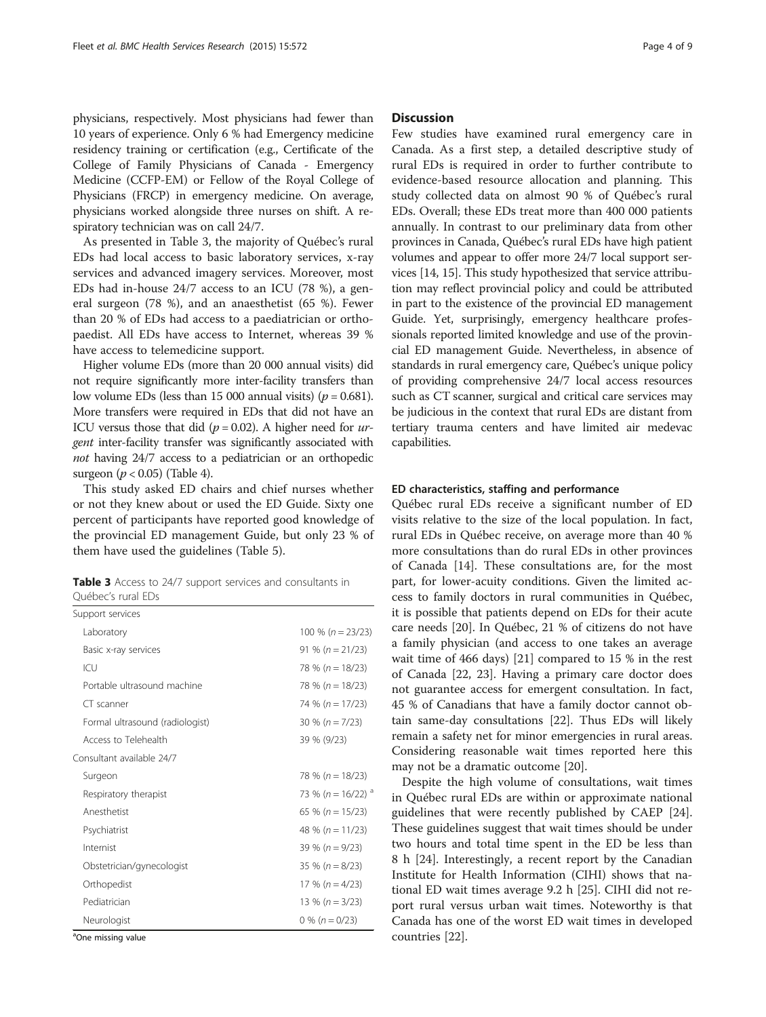physicians, respectively. Most physicians had fewer than 10 years of experience. Only 6 % had Emergency medicine residency training or certification (e.g., Certificate of the College of Family Physicians of Canada - Emergency Medicine (CCFP-EM) or Fellow of the Royal College of Physicians (FRCP) in emergency medicine. On average, physicians worked alongside three nurses on shift. A respiratory technician was on call 24/7.

As presented in Table 3, the majority of Québec's rural EDs had local access to basic laboratory services, x-ray services and advanced imagery services. Moreover, most EDs had in-house 24/7 access to an ICU (78 %), a general surgeon (78 %), and an anaesthetist (65 %). Fewer than 20 % of EDs had access to a paediatrician or orthopaedist. All EDs have access to Internet, whereas 39 % have access to telemedicine support.

Higher volume EDs (more than 20 000 annual visits) did not require significantly more inter-facility transfers than low volume EDs (less than 15 000 annual visits) ( $p = 0.681$ ). More transfers were required in EDs that did not have an ICU versus those that did ( $p = 0.02$ ). A higher need for urgent inter-facility transfer was significantly associated with not having 24/7 access to a pediatrician or an orthopedic surgeon  $(p < 0.05)$  (Table [4\)](#page-4-0).

This study asked ED chairs and chief nurses whether or not they knew about or used the ED Guide. Sixty one percent of participants have reported good knowledge of the provincial ED management Guide, but only 23 % of them have used the guidelines (Table [5\)](#page-5-0).

|                    | <b>Table 3</b> Access to 24/7 support services and consultants in |
|--------------------|-------------------------------------------------------------------|
| Ouébec's rural EDs |                                                                   |

| Support services                |                               |
|---------------------------------|-------------------------------|
| Laboratory                      | 100 % ( $n = 23/23$ )         |
| Basic x-ray services            | 91 % ( $n = 21/23$ )          |
| C                               | 78 % ( $n = 18/23$ )          |
| Portable ultrasound machine     | 78 % ( $n = 18/23$ )          |
| $CT$ scanner                    | 74 % ( $n = 17/23$ )          |
| Formal ultrasound (radiologist) | 30 % ( $n = 7/23$ )           |
| Access to Telehealth            | 39 % (9/23)                   |
| Consultant available 24/7       |                               |
| Surgeon                         | 78 % ( $n = 18/23$ )          |
| Respiratory therapist           | 73 % (n = 16/22) <sup>a</sup> |
| Anesthetist                     | 65 % ( $n = 15/23$ )          |
| Psychiatrist                    | 48 % ( $n = 11/23$ )          |
| Internist                       | 39 % ( $n = 9/23$ )           |
| Obstetrician/gynecologist       | 35 % ( $n = 8/23$ )           |
| Orthopedist                     | 17 % ( $n = 4/23$ )           |
| Pediatrician                    | 13 % ( $n = 3/23$ )           |
| Neurologist                     | $0\% (n=0/23)$                |

<sup>a</sup>One missing value

# **Discussion**

Few studies have examined rural emergency care in Canada. As a first step, a detailed descriptive study of rural EDs is required in order to further contribute to evidence-based resource allocation and planning. This study collected data on almost 90 % of Québec's rural EDs. Overall; these EDs treat more than 400 000 patients annually. In contrast to our preliminary data from other provinces in Canada, Québec's rural EDs have high patient volumes and appear to offer more 24/7 local support services [[14](#page-7-0), [15](#page-7-0)]. This study hypothesized that service attribution may reflect provincial policy and could be attributed in part to the existence of the provincial ED management Guide. Yet, surprisingly, emergency healthcare professionals reported limited knowledge and use of the provincial ED management Guide. Nevertheless, in absence of standards in rural emergency care, Québec's unique policy of providing comprehensive 24/7 local access resources such as CT scanner, surgical and critical care services may be judicious in the context that rural EDs are distant from tertiary trauma centers and have limited air medevac capabilities.

# ED characteristics, staffing and performance

Québec rural EDs receive a significant number of ED visits relative to the size of the local population. In fact, rural EDs in Québec receive, on average more than 40 % more consultations than do rural EDs in other provinces of Canada [\[14\]](#page-7-0). These consultations are, for the most part, for lower-acuity conditions. Given the limited access to family doctors in rural communities in Québec, it is possible that patients depend on EDs for their acute care needs [\[20](#page-8-0)]. In Québec, 21 % of citizens do not have a family physician (and access to one takes an average wait time of 466 days) [\[21](#page-8-0)] compared to 15 % in the rest of Canada [[22](#page-8-0), [23\]](#page-8-0). Having a primary care doctor does not guarantee access for emergent consultation. In fact, 45 % of Canadians that have a family doctor cannot obtain same-day consultations [[22](#page-8-0)]. Thus EDs will likely remain a safety net for minor emergencies in rural areas. Considering reasonable wait times reported here this may not be a dramatic outcome [[20\]](#page-8-0).

Despite the high volume of consultations, wait times in Québec rural EDs are within or approximate national guidelines that were recently published by CAEP [\[24](#page-8-0)]. These guidelines suggest that wait times should be under two hours and total time spent in the ED be less than 8 h [\[24\]](#page-8-0). Interestingly, a recent report by the Canadian Institute for Health Information (CIHI) shows that national ED wait times average 9.2 h [[25\]](#page-8-0). CIHI did not report rural versus urban wait times. Noteworthy is that Canada has one of the worst ED wait times in developed countries [[22](#page-8-0)].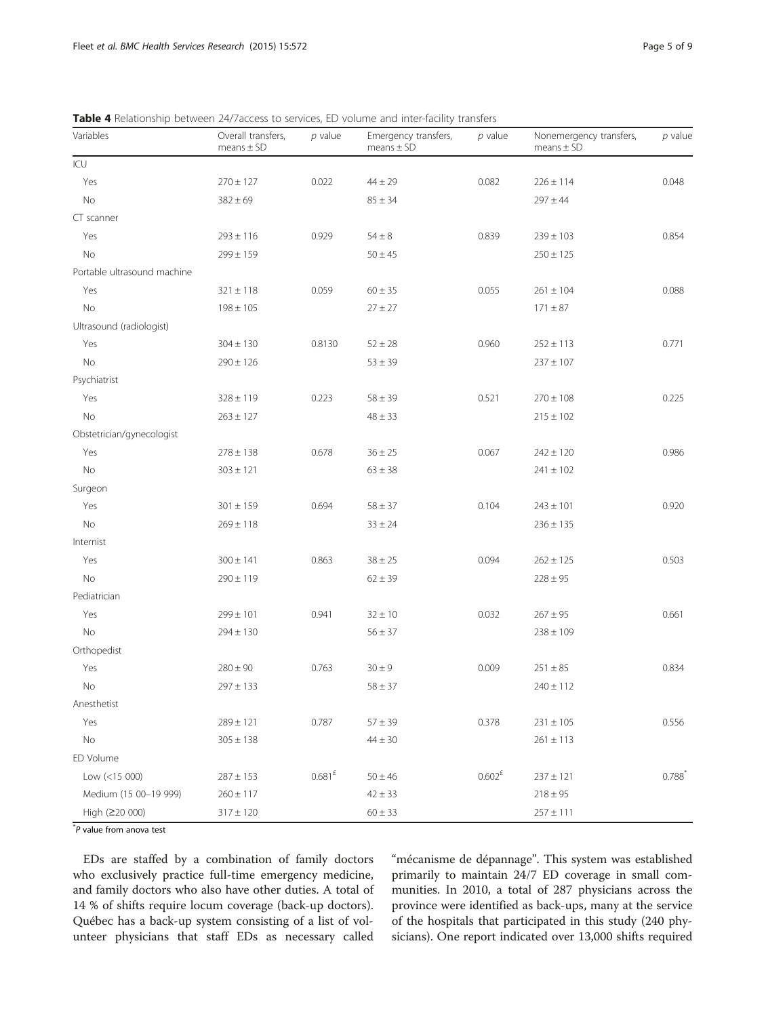| Variables                   | Overall transfers,<br>$means \pm SD$ | $p$ value   | Emergency transfers,<br>means $\pm$ SD | $p$ value          | Nonemergency transfers,<br>means ± SD | $p$ value            |
|-----------------------------|--------------------------------------|-------------|----------------------------------------|--------------------|---------------------------------------|----------------------|
| ICU                         |                                      |             |                                        |                    |                                       |                      |
| Yes                         | $270 \pm 127$                        | 0.022       | $44 \pm 29$                            | 0.082              | $226 \pm 114$                         | 0.048                |
| No                          | $382 \pm 69$                         |             | $85 \pm 34$                            |                    | $297 \pm 44$                          |                      |
| CT scanner                  |                                      |             |                                        |                    |                                       |                      |
| Yes                         | $293 \pm 116$                        | 0.929       | $54\pm8$                               | 0.839              | $239 \pm 103$                         | 0.854                |
| No                          | $299 \pm 159$                        |             | $50 \pm 45$                            |                    | $250 \pm 125$                         |                      |
| Portable ultrasound machine |                                      |             |                                        |                    |                                       |                      |
| Yes                         | $321 \pm 118$                        | 0.059       | $60 \pm 35$                            | 0.055              | $261 \pm 104$                         | 0.088                |
| No                          | $198 \pm 105$                        |             | $27 \pm 27$                            |                    | $171 \pm 87$                          |                      |
| Ultrasound (radiologist)    |                                      |             |                                        |                    |                                       |                      |
| Yes                         | $304 \pm 130$                        | 0.8130      | $52 \pm 28$                            | 0.960              | $252 \pm 113$                         | 0.771                |
| No                          | $290 \pm 126$                        |             | $53 \pm 39$                            |                    | $237 \pm 107$                         |                      |
| Psychiatrist                |                                      |             |                                        |                    |                                       |                      |
| Yes                         | $328 \pm 119$                        | 0.223       | $58 \pm 39$                            | 0.521              | $270 \pm 108$                         | 0.225                |
| No                          | $263 \pm 127$                        |             | $48 \pm 33$                            |                    | $215 \pm 102$                         |                      |
| Obstetrician/gynecologist   |                                      |             |                                        |                    |                                       |                      |
| Yes                         | $278 \pm 138$                        | 0.678       | $36 \pm 25$                            | 0.067              | $242 \pm 120$                         | 0.986                |
| No                          | $303 \pm 121$                        |             | $63 \pm 38$                            |                    | $241 \pm 102$                         |                      |
| Surgeon                     |                                      |             |                                        |                    |                                       |                      |
| Yes                         | $301 \pm 159$                        | 0.694       | $58\pm37$                              | 0.104              | $243 \pm 101$                         | 0.920                |
| No                          | $269 \pm 118$                        |             | $33 \pm 24$                            |                    | $236 \pm 135$                         |                      |
| Internist                   |                                      |             |                                        |                    |                                       |                      |
| Yes                         | $300 \pm 141$                        | 0.863       | $38 \pm 25$                            | 0.094              | $262 \pm 125$                         | 0.503                |
| No                          | $290 \pm 119$                        |             | $62 \pm 39$                            |                    | $228 \pm 95$                          |                      |
| Pediatrician                |                                      |             |                                        |                    |                                       |                      |
| Yes                         | $299 \pm 101$                        | 0.941       | $32 \pm 10$                            | 0.032              | $267 \pm 95$                          | 0.661                |
| No                          | $294 \pm 130$                        |             | $56 \pm 37$                            |                    | $238 \pm 109$                         |                      |
| Orthopedist                 |                                      |             |                                        |                    |                                       |                      |
| Yes                         | $280\pm90$                           | 0.763       | $30 \pm 9$                             | 0.009              | $251 \pm 85$                          | 0.834                |
| No                          | $297 \pm 133$                        |             | $58 \pm 37$                            |                    | $240 \pm 112$                         |                      |
| Anesthetist                 |                                      |             |                                        |                    |                                       |                      |
| Yes                         | $289 \pm 121$                        | 0.787       | $57 \pm 39$                            | 0.378              | $231 \pm 105$                         | 0.556                |
| No                          | $305 \pm 138$                        |             | $44 \pm 30$                            |                    | $261 \pm 113$                         |                      |
| ED Volume                   |                                      |             |                                        |                    |                                       |                      |
| Low (<15 000)               | $287 \pm 153$                        | $0.681^{f}$ | $50 \pm 46$                            | 0.602 <sup>£</sup> | $237 \pm 121$                         | $0.788$ <sup>*</sup> |
| Medium (15 00-19 999)       | $260 \pm 117$                        |             | $42 \pm 33$                            |                    | $218 \pm 95$                          |                      |
| High (≥20 000)              | $317 \pm 120$                        |             | $60 \pm 33$                            |                    | $257 \pm 111$                         |                      |

<span id="page-4-0"></span>Table 4 Relationship between 24/7 access to services, ED volume and inter-facility transfers

\* P value from anova test

EDs are staffed by a combination of family doctors who exclusively practice full-time emergency medicine, and family doctors who also have other duties. A total of 14 % of shifts require locum coverage (back-up doctors). Québec has a back-up system consisting of a list of volunteer physicians that staff EDs as necessary called

"mécanisme de dépannage". This system was established primarily to maintain 24/7 ED coverage in small communities. In 2010, a total of 287 physicians across the province were identified as back-ups, many at the service of the hospitals that participated in this study (240 physicians). One report indicated over 13,000 shifts required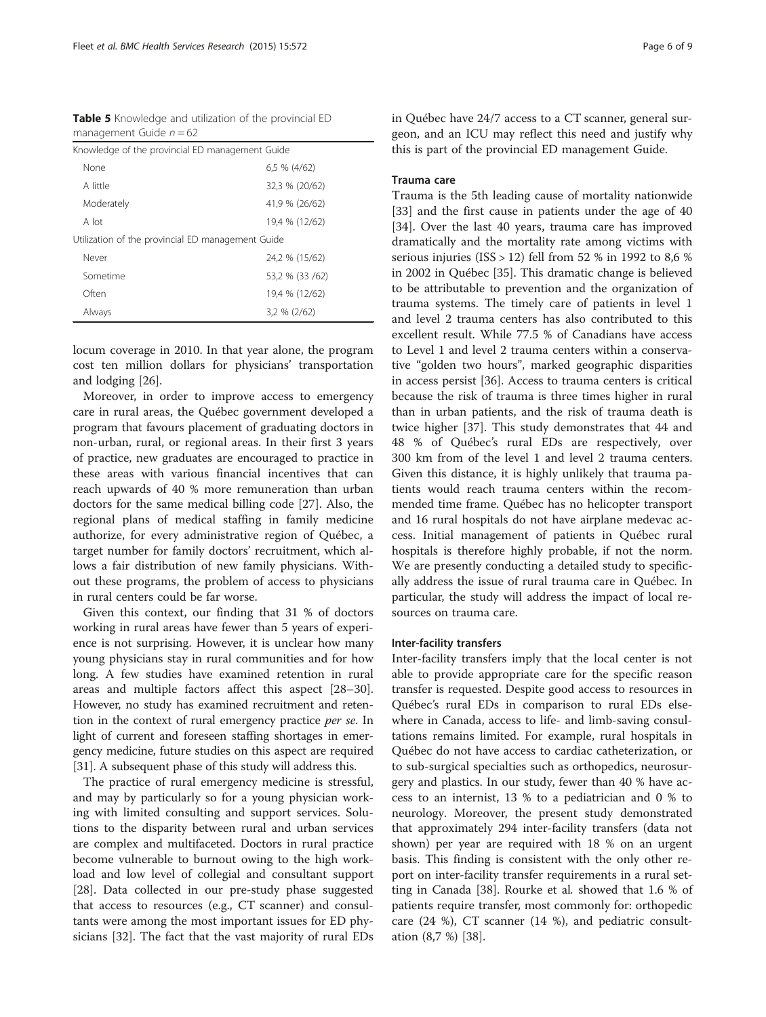<span id="page-5-0"></span>Table 5 Knowledge and utilization of the provincial ED management Guide  $n = 62$ 

| Knowledge of the provincial ED management Guide   |                 |  |
|---------------------------------------------------|-----------------|--|
| None                                              | $6.5 \% (4/62)$ |  |
| A little                                          | 32.3 % (20/62)  |  |
| Moderately                                        | 41.9 % (26/62)  |  |
| A lot                                             | 19,4 % (12/62)  |  |
| Utilization of the provincial ED management Guide |                 |  |
| Never                                             | 24,2 % (15/62)  |  |
| Sometime                                          | 53.2 % (33 /62) |  |
| Often                                             | 19,4 % (12/62)  |  |
| Always                                            | $3.2 \% (2/62)$ |  |

locum coverage in 2010. In that year alone, the program cost ten million dollars for physicians' transportation and lodging [\[26\]](#page-8-0).

Moreover, in order to improve access to emergency care in rural areas, the Québec government developed a program that favours placement of graduating doctors in non-urban, rural, or regional areas. In their first 3 years of practice, new graduates are encouraged to practice in these areas with various financial incentives that can reach upwards of 40 % more remuneration than urban doctors for the same medical billing code [\[27](#page-8-0)]. Also, the regional plans of medical staffing in family medicine authorize, for every administrative region of Québec, a target number for family doctors' recruitment, which allows a fair distribution of new family physicians. Without these programs, the problem of access to physicians in rural centers could be far worse.

Given this context, our finding that 31 % of doctors working in rural areas have fewer than 5 years of experience is not surprising. However, it is unclear how many young physicians stay in rural communities and for how long. A few studies have examined retention in rural areas and multiple factors affect this aspect [[28](#page-8-0)–[30](#page-8-0)]. However, no study has examined recruitment and retention in the context of rural emergency practice per se. In light of current and foreseen staffing shortages in emergency medicine, future studies on this aspect are required [[31](#page-8-0)]. A subsequent phase of this study will address this.

The practice of rural emergency medicine is stressful, and may by particularly so for a young physician working with limited consulting and support services. Solutions to the disparity between rural and urban services are complex and multifaceted. Doctors in rural practice become vulnerable to burnout owing to the high workload and low level of collegial and consultant support [[28\]](#page-8-0). Data collected in our pre-study phase suggested that access to resources (e.g., CT scanner) and consultants were among the most important issues for ED physicians [\[32](#page-8-0)]. The fact that the vast majority of rural EDs

in Québec have 24/7 access to a CT scanner, general surgeon, and an ICU may reflect this need and justify why this is part of the provincial ED management Guide.

# Trauma care

Trauma is the 5th leading cause of mortality nationwide [[33\]](#page-8-0) and the first cause in patients under the age of 40 [[34\]](#page-8-0). Over the last 40 years, trauma care has improved dramatically and the mortality rate among victims with serious injuries (ISS > 12) fell from 52 % in 1992 to 8,6 % in 2002 in Québec [[35](#page-8-0)]. This dramatic change is believed to be attributable to prevention and the organization of trauma systems. The timely care of patients in level 1 and level 2 trauma centers has also contributed to this excellent result. While 77.5 % of Canadians have access to Level 1 and level 2 trauma centers within a conservative "golden two hours", marked geographic disparities in access persist [[36\]](#page-8-0). Access to trauma centers is critical because the risk of trauma is three times higher in rural than in urban patients, and the risk of trauma death is twice higher [\[37](#page-8-0)]. This study demonstrates that 44 and 48 % of Québec's rural EDs are respectively, over 300 km from of the level 1 and level 2 trauma centers. Given this distance, it is highly unlikely that trauma patients would reach trauma centers within the recommended time frame. Québec has no helicopter transport and 16 rural hospitals do not have airplane medevac access. Initial management of patients in Québec rural hospitals is therefore highly probable, if not the norm. We are presently conducting a detailed study to specifically address the issue of rural trauma care in Québec. In particular, the study will address the impact of local resources on trauma care.

# Inter-facility transfers

Inter-facility transfers imply that the local center is not able to provide appropriate care for the specific reason transfer is requested. Despite good access to resources in Québec's rural EDs in comparison to rural EDs elsewhere in Canada, access to life- and limb-saving consultations remains limited. For example, rural hospitals in Québec do not have access to cardiac catheterization, or to sub-surgical specialties such as orthopedics, neurosurgery and plastics. In our study, fewer than 40 % have access to an internist, 13 % to a pediatrician and 0 % to neurology. Moreover, the present study demonstrated that approximately 294 inter-facility transfers (data not shown) per year are required with 18 % on an urgent basis. This finding is consistent with the only other report on inter-facility transfer requirements in a rural setting in Canada [[38](#page-8-0)]. Rourke et al. showed that 1.6 % of patients require transfer, most commonly for: orthopedic care (24 %), CT scanner (14 %), and pediatric consultation (8,7 %) [[38](#page-8-0)].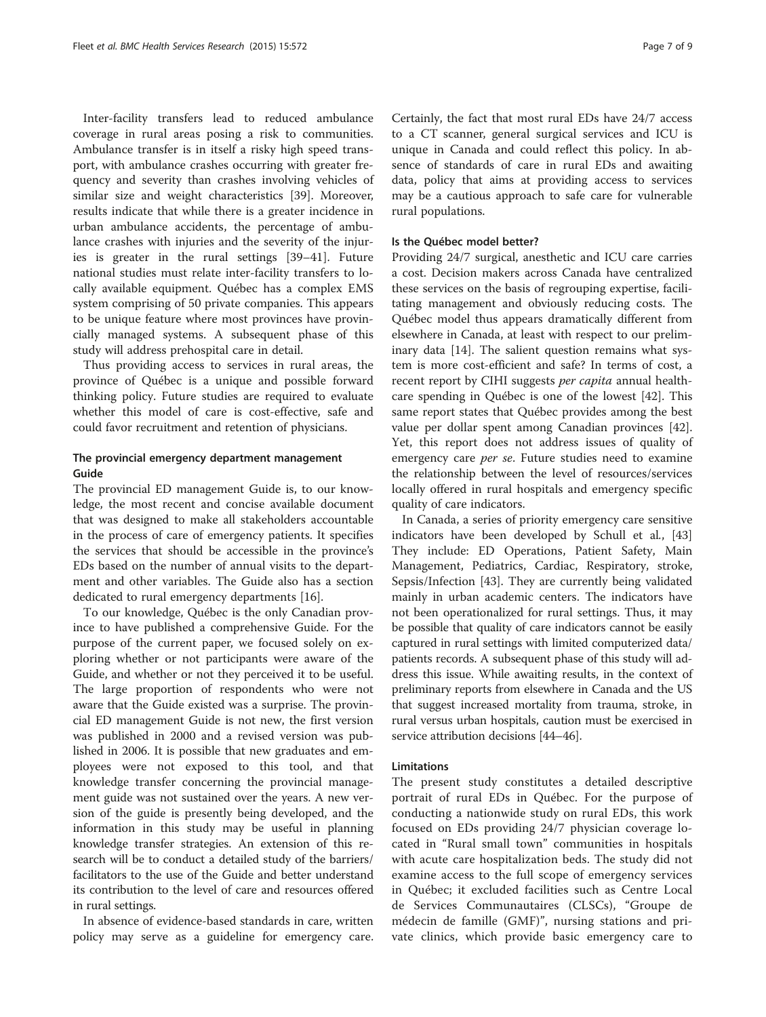Inter-facility transfers lead to reduced ambulance coverage in rural areas posing a risk to communities. Ambulance transfer is in itself a risky high speed transport, with ambulance crashes occurring with greater frequency and severity than crashes involving vehicles of similar size and weight characteristics [[39\]](#page-8-0). Moreover, results indicate that while there is a greater incidence in urban ambulance accidents, the percentage of ambulance crashes with injuries and the severity of the injuries is greater in the rural settings [[39](#page-8-0)–[41](#page-8-0)]. Future national studies must relate inter-facility transfers to locally available equipment. Québec has a complex EMS system comprising of 50 private companies. This appears to be unique feature where most provinces have provincially managed systems. A subsequent phase of this study will address prehospital care in detail.

Thus providing access to services in rural areas, the province of Québec is a unique and possible forward thinking policy. Future studies are required to evaluate whether this model of care is cost-effective, safe and could favor recruitment and retention of physicians.

# The provincial emergency department management Guide

The provincial ED management Guide is, to our knowledge, the most recent and concise available document that was designed to make all stakeholders accountable in the process of care of emergency patients. It specifies the services that should be accessible in the province's EDs based on the number of annual visits to the department and other variables. The Guide also has a section dedicated to rural emergency departments [[16](#page-7-0)].

To our knowledge, Québec is the only Canadian province to have published a comprehensive Guide. For the purpose of the current paper, we focused solely on exploring whether or not participants were aware of the Guide, and whether or not they perceived it to be useful. The large proportion of respondents who were not aware that the Guide existed was a surprise. The provincial ED management Guide is not new, the first version was published in 2000 and a revised version was published in 2006. It is possible that new graduates and employees were not exposed to this tool, and that knowledge transfer concerning the provincial management guide was not sustained over the years. A new version of the guide is presently being developed, and the information in this study may be useful in planning knowledge transfer strategies. An extension of this research will be to conduct a detailed study of the barriers/ facilitators to the use of the Guide and better understand its contribution to the level of care and resources offered in rural settings.

In absence of evidence-based standards in care, written policy may serve as a guideline for emergency care. Certainly, the fact that most rural EDs have 24/7 access to a CT scanner, general surgical services and ICU is unique in Canada and could reflect this policy. In absence of standards of care in rural EDs and awaiting data, policy that aims at providing access to services may be a cautious approach to safe care for vulnerable rural populations.

# Is the Québec model better?

Providing 24/7 surgical, anesthetic and ICU care carries a cost. Decision makers across Canada have centralized these services on the basis of regrouping expertise, facilitating management and obviously reducing costs. The Québec model thus appears dramatically different from elsewhere in Canada, at least with respect to our preliminary data [[14\]](#page-7-0). The salient question remains what system is more cost-efficient and safe? In terms of cost, a recent report by CIHI suggests per capita annual healthcare spending in Québec is one of the lowest [[42](#page-8-0)]. This same report states that Québec provides among the best value per dollar spent among Canadian provinces [\[42](#page-8-0)]. Yet, this report does not address issues of quality of emergency care per se. Future studies need to examine the relationship between the level of resources/services locally offered in rural hospitals and emergency specific quality of care indicators.

In Canada, a series of priority emergency care sensitive indicators have been developed by Schull et al., [[43](#page-8-0)] They include: ED Operations, Patient Safety, Main Management, Pediatrics, Cardiac, Respiratory, stroke, Sepsis/Infection [[43](#page-8-0)]. They are currently being validated mainly in urban academic centers. The indicators have not been operationalized for rural settings. Thus, it may be possible that quality of care indicators cannot be easily captured in rural settings with limited computerized data/ patients records. A subsequent phase of this study will address this issue. While awaiting results, in the context of preliminary reports from elsewhere in Canada and the US that suggest increased mortality from trauma, stroke, in rural versus urban hospitals, caution must be exercised in service attribution decisions [\[44](#page-8-0)–[46](#page-8-0)].

# Limitations

The present study constitutes a detailed descriptive portrait of rural EDs in Québec. For the purpose of conducting a nationwide study on rural EDs, this work focused on EDs providing 24/7 physician coverage located in "Rural small town" communities in hospitals with acute care hospitalization beds. The study did not examine access to the full scope of emergency services in Québec; it excluded facilities such as Centre Local de Services Communautaires (CLSCs), "Groupe de médecin de famille (GMF)", nursing stations and private clinics, which provide basic emergency care to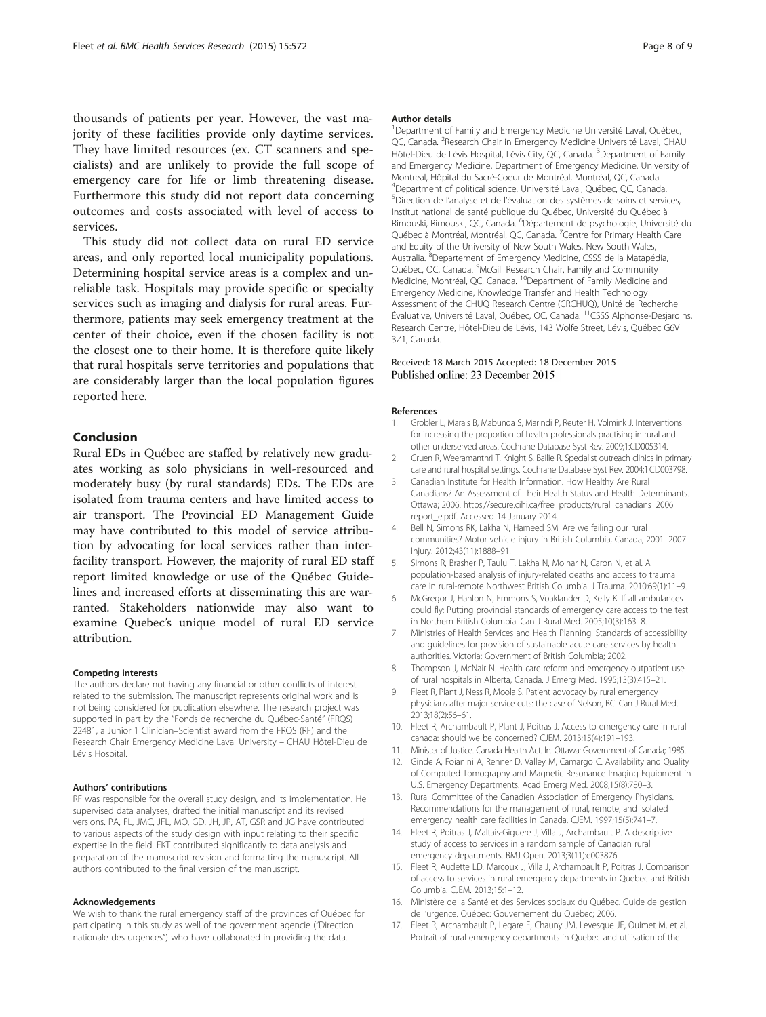<span id="page-7-0"></span>thousands of patients per year. However, the vast majority of these facilities provide only daytime services. They have limited resources (ex. CT scanners and specialists) and are unlikely to provide the full scope of emergency care for life or limb threatening disease. Furthermore this study did not report data concerning outcomes and costs associated with level of access to services.

This study did not collect data on rural ED service areas, and only reported local municipality populations. Determining hospital service areas is a complex and unreliable task. Hospitals may provide specific or specialty services such as imaging and dialysis for rural areas. Furthermore, patients may seek emergency treatment at the center of their choice, even if the chosen facility is not the closest one to their home. It is therefore quite likely that rural hospitals serve territories and populations that are considerably larger than the local population figures reported here.

# Conclusion

Rural EDs in Québec are staffed by relatively new graduates working as solo physicians in well-resourced and moderately busy (by rural standards) EDs. The EDs are isolated from trauma centers and have limited access to air transport. The Provincial ED Management Guide may have contributed to this model of service attribution by advocating for local services rather than interfacility transport. However, the majority of rural ED staff report limited knowledge or use of the Québec Guidelines and increased efforts at disseminating this are warranted. Stakeholders nationwide may also want to examine Quebec's unique model of rural ED service attribution.

#### Competing interests

The authors declare not having any financial or other conflicts of interest related to the submission. The manuscript represents original work and is not being considered for publication elsewhere. The research project was supported in part by the "Fonds de recherche du Québec-Santé" (FRQS) 22481, a Junior 1 Clinician–Scientist award from the FRQS (RF) and the Research Chair Emergency Medicine Laval University – CHAU Hôtel-Dieu de Lévis Hospital.

#### Authors' contributions

RF was responsible for the overall study design, and its implementation. He supervised data analyses, drafted the initial manuscript and its revised versions. PA, FL, JMC, JFL, MO, GD, JH, JP, AT, GSR and JG have contributed to various aspects of the study design with input relating to their specific expertise in the field. FKT contributed significantly to data analysis and preparation of the manuscript revision and formatting the manuscript. All authors contributed to the final version of the manuscript.

#### Acknowledgements

We wish to thank the rural emergency staff of the provinces of Québec for participating in this study as well of the government agencie ("Direction nationale des urgences") who have collaborated in providing the data.

#### Author details

<sup>1</sup>Department of Family and Emergency Medicine Université Laval, Québec QC, Canada. <sup>2</sup>Research Chair in Emergency Medicine Université Laval, CHAU Hôtel-Dieu de Lévis Hospital, Lévis City, QC, Canada. <sup>3</sup>Department of Family and Emergency Medicine, Department of Emergency Medicine, University of Montreal, Hôpital du Sacré-Coeur de Montréal, Montréal, QC, Canada. 4 Department of political science, Université Laval, Québec, QC, Canada. <sup>5</sup>Direction de l'analyse et de l'évaluation des systèmes de soins et services, Institut national de santé publique du Québec, Université du Québec à Rimouski, Rimouski, QC, Canada. <sup>6</sup>Département de psychologie, Université du Québec à Montréal, Montréal, QC, Canada. <sup>7</sup> Centre for Primary Health Care and Equity of the University of New South Wales, New South Wales, Australia. <sup>8</sup>Departement of Emergency Medicine, CSSS de la Matapédia, Québec, QC, Canada. <sup>9</sup>McGill Research Chair, Family and Community Medicine, Montréal, QC, Canada. 10Department of Family Medicine and Emergency Medicine, Knowledge Transfer and Health Technology Assessment of the CHUQ Research Centre (CRCHUQ), Unité de Recherche Évaluative, Université Laval, Québec, QC, Canada. 11CSSS Alphonse-Desjardins, Research Centre, Hôtel-Dieu de Lévis, 143 Wolfe Street, Lévis, Québec G6V 3Z1, Canada.

#### Received: 18 March 2015 Accepted: 18 December 2015 Published online: 23 December 2015

#### References

- 1. Grobler L, Marais B, Mabunda S, Marindi P, Reuter H, Volmink J. Interventions for increasing the proportion of health professionals practising in rural and other underserved areas. Cochrane Database Syst Rev. 2009;1:CD005314.
- 2. Gruen R, Weeramanthri T, Knight S, Bailie R. Specialist outreach clinics in primary care and rural hospital settings. Cochrane Database Syst Rev. 2004;1:CD003798.
- 3. Canadian Institute for Health Information. How Healthy Are Rural Canadians? An Assessment of Their Health Status and Health Determinants. Ottawa; 2006. [https://secure.cihi.ca/free\\_products/rural\\_canadians\\_2006\\_](https://secure.cihi.ca/free_products/rural_canadians_2006_report_e.pdf) [report\\_e.pdf.](https://secure.cihi.ca/free_products/rural_canadians_2006_report_e.pdf) Accessed 14 January 2014.
- 4. Bell N, Simons RK, Lakha N, Hameed SM. Are we failing our rural communities? Motor vehicle injury in British Columbia, Canada, 2001–2007. Injury. 2012;43(11):1888–91.
- 5. Simons R, Brasher P, Taulu T, Lakha N, Molnar N, Caron N, et al. A population-based analysis of injury-related deaths and access to trauma care in rural-remote Northwest British Columbia. J Trauma. 2010;69(1):11–9.
- 6. McGregor J, Hanlon N, Emmons S, Voaklander D, Kelly K. If all ambulances could fly: Putting provincial standards of emergency care access to the test in Northern British Columbia. Can J Rural Med. 2005;10(3):163–8.
- 7. Ministries of Health Services and Health Planning. Standards of accessibility and guidelines for provision of sustainable acute care services by health authorities. Victoria: Government of British Columbia; 2002.
- 8. Thompson J, McNair N. Health care reform and emergency outpatient use of rural hospitals in Alberta, Canada. J Emerg Med. 1995;13(3):415–21.
- 9. Fleet R, Plant J, Ness R, Moola S. Patient advocacy by rural emergency physicians after major service cuts: the case of Nelson, BC. Can J Rural Med. 2013;18(2):56–61.
- 10. Fleet R, Archambault P, Plant J, Poitras J. Access to emergency care in rural canada: should we be concerned? CJEM. 2013;15(4):191–193.
- 11. Minister of Justice. Canada Health Act. In. Ottawa: Government of Canada; 1985.
- 12. Ginde A, Foianini A, Renner D, Valley M, Camargo C. Availability and Quality of Computed Tomography and Magnetic Resonance Imaging Equipment in U.S. Emergency Departments. Acad Emerg Med. 2008;15(8):780–3.
- 13. Rural Committee of the Canadien Association of Emergency Physicians. Recommendations for the management of rural, remote, and isolated emergency health care facilities in Canada. CJEM. 1997;15(5):741–7.
- 14. Fleet R, Poitras J, Maltais-Giguere J, Villa J, Archambault P. A descriptive study of access to services in a random sample of Canadian rural emergency departments. BMJ Open. 2013;3(11):e003876.
- 15. Fleet R, Audette LD, Marcoux J, Villa J, Archambault P, Poitras J. Comparison of access to services in rural emergency departments in Quebec and British Columbia. CJEM. 2013;15:1–12.
- 16. Ministère de la Santé et des Services sociaux du Québec. Guide de gestion de l'urgence. Québec: Gouvernement du Québec; 2006.
- 17. Fleet R, Archambault P, Legare F, Chauny JM, Levesque JF, Ouimet M, et al. Portrait of rural emergency departments in Quebec and utilisation of the